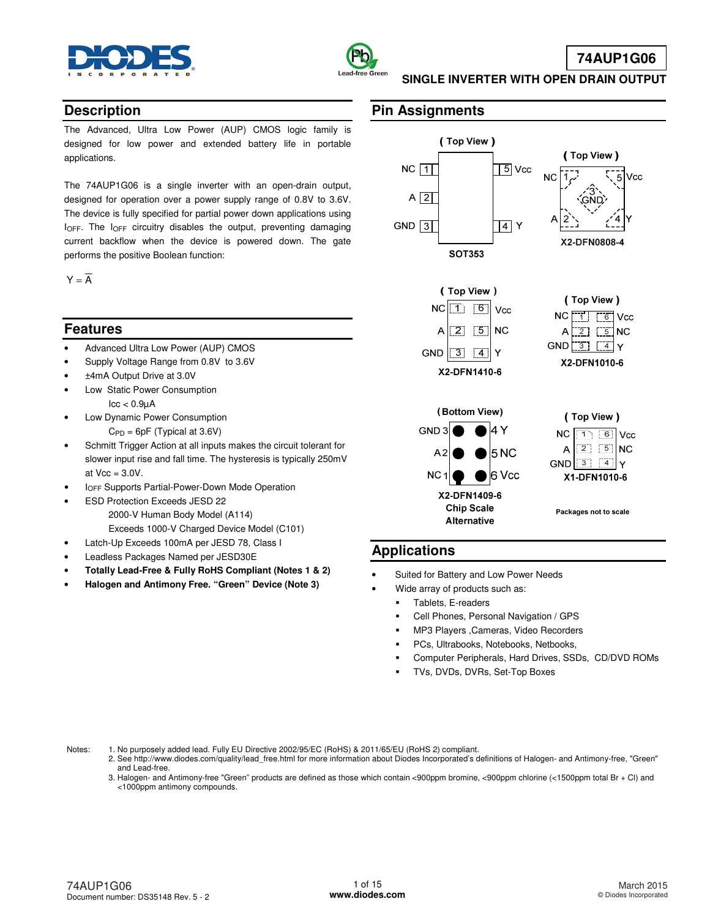



# **74AUP1G06**

**SINGLE INVERTER WITH OPEN DRAIN OUTPUT** 

### **Description**

The Advanced, Ultra Low Power (AUP) CMOS logic family is designed for low power and extended battery life in portable applications.

The 74AUP1G06 is a single inverter with an open-drain output, designed for operation over a power supply range of 0.8V to 3.6V. The device is fully specified for partial power down applications using  $I_{\text{OFF}}$ . The  $I_{\text{OFF}}$  circuitry disables the output, preventing damaging current backflow when the device is powered down. The gate performs the positive Boolean function:

 $Y = \overline{A}$ 

## **Features**

- Advanced Ultra Low Power (AUP) CMOS
- Supply Voltage Range from 0.8V to 3.6V
- ±4mA Output Drive at 3.0V
- Low Static Power Consumption  $\text{Icc} < 0.9 \mu\text{A}$
- Low Dynamic Power Consumption  $C_{PD} = 6pF$  (Typical at 3.6V)
- Schmitt Trigger Action at all inputs makes the circuit tolerant for slower input rise and fall time. The hysteresis is typically 250mV at  $Vec = 3.0V$ .
- **IOFF Supports Partial-Power-Down Mode Operation**
- ESD Protection Exceeds JESD 22 2000-V Human Body Model (A114) Exceeds 1000-V Charged Device Model (C101)
- Latch-Up Exceeds 100mA per JESD 78, Class I
- Leadless Packages Named per JESD30E
- **Totally Lead-Free & Fully RoHS Compliant (Notes 1 & 2)**
- **Halogen and Antimony Free. "Green" Device (Note 3)**

## **Pin Assignments**



## **Applications**

- Suited for Battery and Low Power Needs
	- Wide array of products such as:
	- Tablets, E-readers
	- Cell Phones, Personal Navigation / GPS
	- MP3 Players ,Cameras, Video Recorders
	- PCs, Ultrabooks, Notebooks, Netbooks,
	- Computer Peripherals, Hard Drives, SSDs, CD/DVD ROMs
	- TVs, DVDs, DVRs, Set-Top Boxes

Notes: 1. No purposely added lead. Fully EU Directive 2002/95/EC (RoHS) & 2011/65/EU (RoHS 2) compliant.

- 2. See [http://www.diodes.com/quality/lead\\_free.html fo](http://www.diodes.com/quality/lead_free.html)r more information about Diodes Incorporated's definitions of Halogen- and Antimony-free, "Green" and Lead-free.
- 3. Halogen- and Antimony-free "Green" products are defined as those which contain <900ppm bromine, <900ppm chlorine (<1500ppm total Br + Cl) and <1000ppm antimony compounds.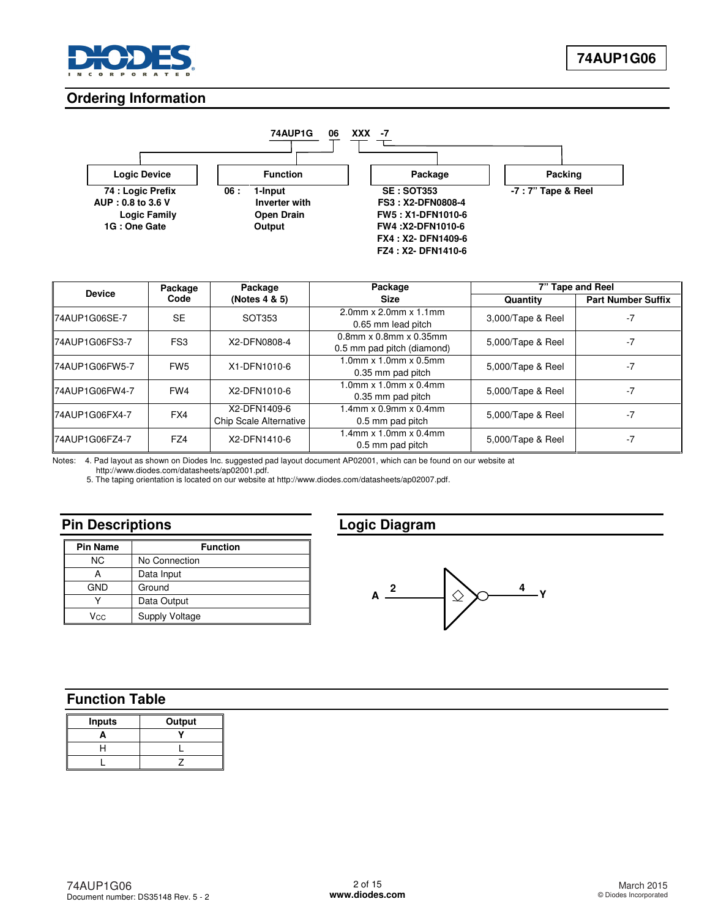

## **Ordering Information**



| <b>Device</b>         | Package         | Package                                | Package                                                       | 7" Tape and Reel  |                           |  |
|-----------------------|-----------------|----------------------------------------|---------------------------------------------------------------|-------------------|---------------------------|--|
|                       | Code            | (Notes 4 & 5)                          | <b>Size</b>                                                   | Quantity          | <b>Part Number Suffix</b> |  |
| 74AUP1G06SE-7         | <b>SE</b>       | SOT353                                 | $2.0$ mm x $2.0$ mm x $1.1$ mm<br>0.65 mm lead pitch          | 3,000/Tape & Reel | $-7$                      |  |
| 74AUP1G06FS3-7        | FS <sub>3</sub> | X2-DFN0808-4                           | $0.8$ mm x $0.8$ mm x $0.35$ mm<br>0.5 mm pad pitch (diamond) | 5,000/Tape & Reel | $-7$                      |  |
| <b>74AUP1G06FW5-7</b> | FW <sub>5</sub> | X1-DFN1010-6                           | $1.0$ mm x $1.0$ mm x $0.5$ mm<br>0.35 mm pad pitch           | 5,000/Tape & Reel | $-7$                      |  |
| 74AUP1G06FW4-7        | FW4             | X2-DFN1010-6                           | $1.0$ mm x $1.0$ mm x $0.4$ mm<br>0.35 mm pad pitch           | 5,000/Tape & Reel | $-7$                      |  |
| 74AUP1G06FX4-7        | FX4             | X2-DFN1409-6<br>Chip Scale Alternative | $.4$ mm x 0.9mm x 0.4mm<br>0.5 mm pad pitch                   | 5,000/Tape & Reel | -7                        |  |
| 74AUP1G06FZ4-7        | FZ4             | X2-DFN1410-6                           | $.4$ mm x 1.0mm x 0.4mm<br>0.5 mm pad pitch                   | 5,000/Tape & Reel | $-7$                      |  |

Notes: 4. Pad layout as shown on Diodes Inc. suggested pad layout document AP02001, which can be found on our website at

[http://www.diodes.com/datasheets/ap02001.pdf.](http://www.diodes.com/datasheets/ap02001.pdf) 

5. The taping orientation is located on our website at [http://www.diodes.com/datasheets/ap02007.pdf.](http://www.diodes.com/datasheets/ap02007.pdf) 

# **Pin Descriptions**

| <b>Pin Name</b> | <b>Function</b> |  |  |  |
|-----------------|-----------------|--|--|--|
| <b>NC</b>       | No Connection   |  |  |  |
|                 | Data Input      |  |  |  |
| <b>GND</b>      | Ground          |  |  |  |
|                 | Data Output     |  |  |  |
| Vcc             | Supply Voltage  |  |  |  |

# **Logic Diagram**



# **Function Table**

| <b>Inputs</b> | Output |
|---------------|--------|
|               |        |
|               |        |
|               |        |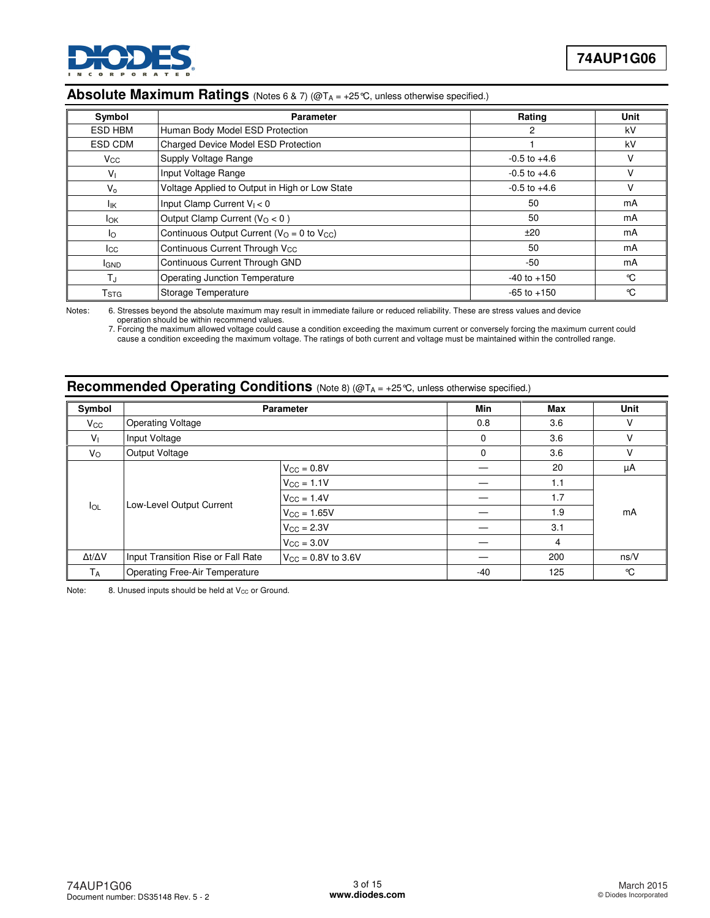

# Absolute Maximum Ratings (Notes 6 & 7) (@T<sub>A</sub> = +25 °C, unless otherwise specified.)

| Symbol                    | <b>Parameter</b>                                | Rating           | Unit |
|---------------------------|-------------------------------------------------|------------------|------|
| ESD HBM                   | Human Body Model ESD Protection                 | 2                | kV   |
| ESD CDM                   | Charged Device Model ESD Protection             |                  | kV   |
| $V_{\rm CC}$              | Supply Voltage Range                            | $-0.5$ to $+4.6$ | v    |
| V <sub>1</sub>            | Input Voltage Range                             | $-0.5$ to $+4.6$ | V    |
| $V_{0}$                   | Voltage Applied to Output in High or Low State  | $-0.5$ to $+4.6$ | V    |
| lικ                       | Input Clamp Current $V_1 < 0$                   | 50               | mA   |
| <b>I</b> ok               | Output Clamp Current ( $VO < 0$ )               | 50               | mA   |
| lo.                       | Continuous Output Current ( $VO = 0$ to $VCC$ ) | ±20              | mA   |
| Icc                       | Continuous Current Through V <sub>CC</sub>      | 50               | mA   |
| <b>IGND</b>               | Continuous Current Through GND                  | $-50$            | mA   |
| T,                        | <b>Operating Junction Temperature</b>           | $-40$ to $+150$  | °C   |
| $\mathsf{T}_{\text{STG}}$ | Storage Temperature                             | $-65$ to $+150$  | °C   |

Notes: 6. Stresses beyond the absolute maximum may result in immediate failure or reduced reliability. These are stress values and device operation should be within recommend values.

 7. Forcing the maximum allowed voltage could cause a condition exceeding the maximum current or conversely forcing the maximum current could cause a condition exceeding the maximum voltage. The ratings of both current and voltage must be maintained within the controlled range.

# **Recommended Operating Conditions** (Note 8) (@T<sub>A</sub> = +25℃, unless otherwise specified.)

| Symbol              |                                                                      | <b>Parameter</b>       | Min         | <b>Max</b> | <b>Unit</b> |
|---------------------|----------------------------------------------------------------------|------------------------|-------------|------------|-------------|
| $V_{\rm CC}$        | <b>Operating Voltage</b>                                             |                        | 0.8         | 3.6        | v           |
| V <sub>1</sub>      | Input Voltage                                                        |                        | $\mathbf 0$ | 3.6        | V           |
| $V_{\rm O}$         | Output Voltage                                                       |                        | 0           | 3.6        | V           |
|                     |                                                                      | $V_{CC} = 0.8V$        |             | 20         | μA          |
|                     | Low-Level Output Current                                             | $V_{\rm CC} = 1.1V$    |             | 1.1        |             |
|                     |                                                                      | $V_{\rm CC} = 1.4V$    |             | 1.7        | mA          |
| $I_{OL}$            |                                                                      | $V_{CC} = 1.65V$       |             | 1.9        |             |
|                     |                                                                      | $V_{\rm GC} = 2.3V$    |             | 3.1        |             |
|                     |                                                                      | $V_{\text{CC}} = 3.0V$ |             | 4          |             |
| $\Delta t/\Delta V$ | Input Transition Rise or Fall Rate<br>$V_{\text{CC}} = 0.8V$ to 3.6V |                        |             | 200        | ns/V        |
| <b>TA</b>           | <b>Operating Free-Air Temperature</b>                                |                        | -40         | 125        | °C          |

Note: 8. Unused inputs should be held at  $V_{CC}$  or Ground.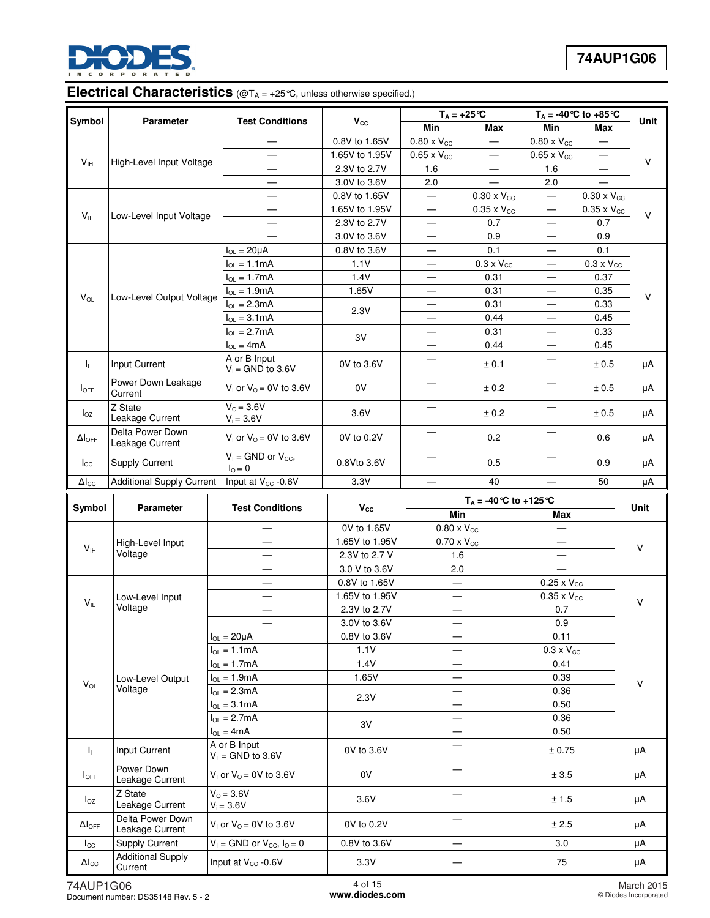

# Electrical Characteristics (@T<sub>A = +25</sub>°C, unless otherwise specified.)

| Symbol                    | Parameter                                  | <b>Test Conditions</b>                        |                | $T_A = +25$ °C              |                      | $\overline{T_A}$ = -40 °C to +85 °C |                      | Unit   |
|---------------------------|--------------------------------------------|-----------------------------------------------|----------------|-----------------------------|----------------------|-------------------------------------|----------------------|--------|
|                           |                                            |                                               | $V_{\rm cc}$   | Min                         | Max                  | Min                                 | Max                  |        |
|                           |                                            |                                               | 0.8V to 1.65V  | $0.80 \times V_{CC}$        |                      | $0.80 \times V_{CC}$                |                      |        |
|                           |                                            |                                               | 1.65V to 1.95V | $0.65 \times V_{CC}$        |                      | $0.65 \times V_{CC}$                |                      | $\vee$ |
| $V_{IH}$                  | High-Level Input Voltage                   |                                               | 2.3V to 2.7V   | 1.6                         |                      | 1.6                                 |                      |        |
|                           |                                            |                                               | 3.0V to 3.6V   | 2.0                         |                      | 2.0                                 |                      |        |
|                           |                                            |                                               | 0.8V to 1.65V  | $\equiv$                    | $0.30 \times V_{CC}$ |                                     | $0.30 \times V_{CC}$ |        |
|                           |                                            | $\overline{\phantom{0}}$                      | 1.65V to 1.95V | $\overline{\phantom{0}}$    | $0.35 \times V_{CC}$ |                                     | $0.35 \times V_{CC}$ | $\vee$ |
| $V_{IL}$                  | Low-Level Input Voltage                    |                                               | 2.3V to 2.7V   | $\overline{\phantom{0}}$    | 0.7                  |                                     | 0.7                  |        |
|                           |                                            |                                               | 3.0V to 3.6V   | $\qquad \qquad$             | 0.9                  | $\overline{\phantom{0}}$            | 0.9                  |        |
|                           |                                            | $I_{OL} = 20 \mu A$                           | 0.8V to 3.6V   |                             | 0.1                  |                                     | 0.1                  |        |
|                           |                                            | $I_{OL} = 1.1mA$                              | 1.1V           |                             | $0.3 \times V_{CC}$  | $\overline{\phantom{m}}$            | $0.3 \times V_{CC}$  |        |
|                           |                                            | $I_{OL} = 1.7mA$                              | 1.4V           | $\equiv$                    | 0.31                 |                                     | 0.37                 |        |
|                           |                                            | $I_{OL} = 1.9mA$                              | 1.65V          |                             | 0.31                 |                                     | 0.35                 |        |
| $V_{OL}$                  | Low-Level Output Voltage                   | $I_{OL} = 2.3mA$                              |                | $\overline{\phantom{0}}$    | 0.31                 | $\overline{\phantom{0}}$            | 0.33                 | V      |
|                           |                                            | $I_{OL} = 3.1mA$                              | 2.3V           |                             | 0.44                 |                                     | 0.45                 |        |
|                           |                                            | $I_{OL} = 2.7mA$                              |                | $\qquad \qquad$             | 0.31                 | $\overline{\phantom{0}}$            | 0.33                 |        |
|                           |                                            | $I_{OL} = 4mA$                                | 3V             | $\equiv$                    | 0.44                 |                                     | 0.45                 |        |
|                           |                                            | A or B Input                                  |                |                             |                      |                                     |                      |        |
| $\mathbf{I}_{\mathbf{L}}$ | Input Current                              | $V_1 =$ GND to 3.6V                           | 0V to 3.6V     |                             | ± 0.1                |                                     | $\pm$ 0.5            | μA     |
| $I_{\text{OFF}}$          | Power Down Leakage<br>Current              | $V_1$ or $V_0 = 0V$ to 3.6V                   | 0V             | —                           | ± 0.2                |                                     | ± 0.5                | μA     |
| $I_{OZ}$                  | Z State<br>Leakage Current                 | $V_0 = 3.6V$<br>$V_i = 3.6V$                  | 3.6V           |                             | ± 0.2                |                                     | ± 0.5                | μA     |
| $\Delta I_{\text{OFF}}$   | Delta Power Down<br>Leakage Current        | $V_1$ or $V_0 = 0V$ to 3.6V                   | 0V to 0.2V     |                             | 0.2                  |                                     | 0.6                  | μA     |
| $I_{\rm CC}$              | Supply Current                             | $V_1$ = GND or $V_{CC}$ ,<br>$I_{\Omega} = 0$ | 0.8Vto 3.6V    |                             | 0.5                  |                                     | 0.9                  | μA     |
| $\Delta I_{\text{CC}}$    | <b>Additional Supply Current</b>           | Input at V <sub>cc</sub> -0.6V                | 3.3V           |                             | 40                   |                                     | 50                   | μA     |
|                           |                                            |                                               |                | $T_A = -40$ °C to $+125$ °C |                      |                                     |                      |        |
| Symbol                    | Parameter                                  | <b>Test Conditions</b>                        | $V_{\rm CC}$   | Min                         |                      | Max                                 |                      | Unit   |
|                           |                                            | $\overline{\phantom{0}}$                      | 0V to 1.65V    | $0.80 \times V_{CC}$        |                      |                                     |                      |        |
|                           |                                            |                                               |                |                             |                      |                                     |                      |        |
|                           | High-Level Input                           | —                                             | 1.65V to 1.95V | $0.70 \times V_{CC}$        |                      | $\overline{\phantom{0}}$            |                      |        |
| V <sub>IH</sub>           | Voltage                                    | $\qquad \qquad -$                             | 2.3V to 2.7 V  | 1.6                         |                      |                                     |                      | V      |
|                           |                                            | $\overline{\phantom{0}}$                      | 3.0 V to 3.6V  | 2.0                         |                      |                                     |                      |        |
|                           |                                            | —                                             | 0.8V to 1.65V  | $\overline{\phantom{0}}$    |                      |                                     |                      |        |
|                           |                                            | $\overline{\phantom{0}}$                      | 1.65V to 1.95V |                             |                      | $0.25 \times V_{CC}$                |                      |        |
| $V_{IL}$                  | Low-Level Input<br>Voltage                 |                                               | 2.3V to 2.7V   |                             |                      | $0.35 \times V_{CC}$<br>0.7         |                      | V      |
|                           |                                            |                                               |                | —                           |                      |                                     |                      |        |
|                           |                                            |                                               | 3.0V to 3.6V   |                             |                      | 0.9<br>0.11                         |                      |        |
|                           |                                            | $I_{OL} = 20 \mu A$                           | 0.8V to 3.6V   |                             |                      |                                     |                      |        |
|                           |                                            | $I_{OL} = 1.1 \text{mA}$                      | 1.1V           |                             |                      | $0.3 \times V_{CC}$<br>0.41         |                      |        |
|                           |                                            | $I_{OL} = 1.7mA$                              | 1.4V           |                             |                      | 0.39                                |                      |        |
| $V_{OL}$                  | Low-Level Output<br>Voltage                | $I_{OL} = 1.9mA$                              | 1.65V          |                             |                      |                                     |                      | $\vee$ |
|                           |                                            | $I_{OL} = 2.3mA$                              | 2.3V           |                             |                      | 0.36                                |                      |        |
|                           |                                            | $I_{OL} = 3.1mA$                              |                |                             |                      | 0.50                                |                      |        |
|                           |                                            | $I_{OL} = 2.7mA$                              | 3V             |                             |                      | 0.36                                |                      |        |
|                           |                                            | $I_{OL} = 4mA$                                |                |                             |                      | 0.50                                |                      |        |
| ΙĻ.                       | Input Current                              | A or B Input<br>$V_1$ = GND to 3.6V           | 0V to 3.6V     |                             |                      | ± 0.75                              |                      | μA     |
| $I_{\text{OFF}}$          | Power Down<br>Leakage Current              | $V_1$ or $V_0 = 0V$ to 3.6V                   | 0V             |                             |                      | ± 3.5                               |                      | μA     |
| $I_{OZ}$                  | Z State<br>Leakage Current                 | $V_0 = 3.6V$<br>$V_i = 3.6V$                  | 3.6V           |                             |                      | ± 1.5                               |                      | μA     |
| $\Delta I_{\text{OFF}}$   | Delta Power Down<br>Leakage Current        | $V_1$ or $V_0 = 0V$ to 3.6V                   | 0V to 0.2V     |                             |                      | $\pm$ 2.5                           |                      | μA     |
| $I_{\rm CC}$              | Supply Current<br><b>Additional Supply</b> | $V_1 =$ GND or $V_{CC}$ , $I_0 = 0$           | 0.8V to 3.6V   |                             |                      | 3.0                                 |                      | μA     |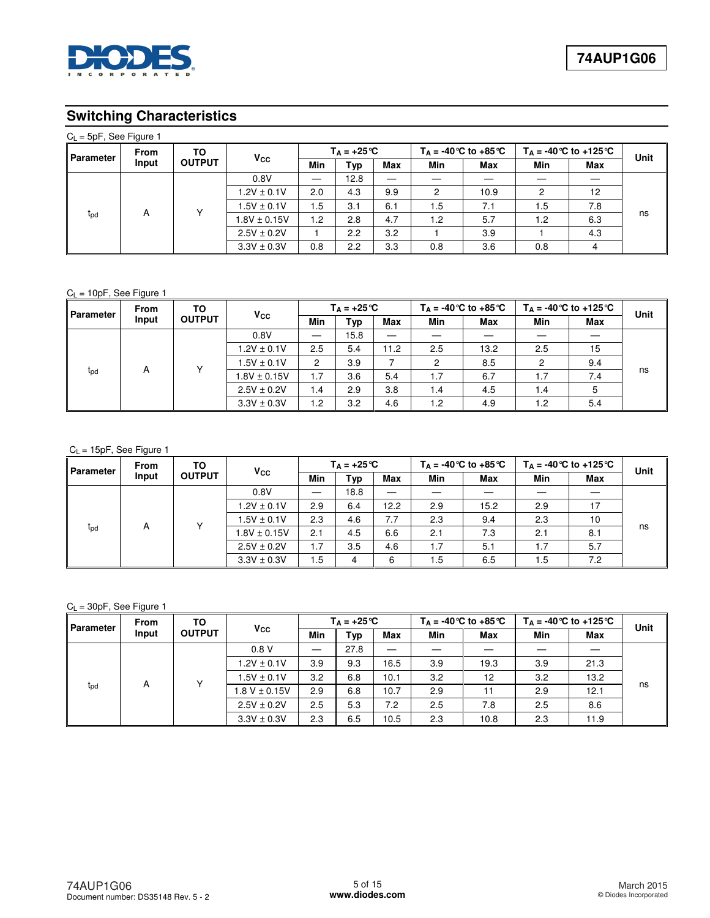

# **Switching Characteristics**

| $C_L$ = 5pF, See Figure 1 |                          |               |                  |                      |     |            |                            |      |                             |     |      |
|---------------------------|--------------------------|---------------|------------------|----------------------|-----|------------|----------------------------|------|-----------------------------|-----|------|
|                           | <b>From</b><br>Parameter | TO            |                  | $T_A = +25^{\circ}C$ |     |            | $T_A = -40$ °C to $+85$ °C |      | $T_A = -40$ °C to $+125$ °C |     | Unit |
|                           | Input                    | <b>OUTPUT</b> | $V_{\rm CC}$     | Min                  | Typ | <b>Max</b> | Min                        | Max  | Min                         | Max |      |
|                           | 0.8V                     |               | 12.8             |                      |     |            |                            |      |                             |     |      |
|                           |                          |               | $1.2V \pm 0.1V$  | 2.0                  | 4.3 | 9.9        | 2                          | 10.9 |                             | 12  |      |
|                           |                          |               | $1.5V \pm 0.1V$  | 5. ا                 | 3.1 | 6.1        | ۱.5                        | 7.1  | 5.،                         | 7.8 |      |
| t <sub>pd</sub>           | A                        |               | $1.8V \pm 0.15V$ | 1.2                  | 2.8 | 4.7        | 1.2                        | 5.7  | 1.2                         | 6.3 | ns   |
|                           |                          |               | $2.5V \pm 0.2V$  |                      | 2.2 | 3.2        |                            | 3.9  |                             | 4.3 |      |
|                           |                          |               | $3.3V \pm 0.3V$  | 0.8                  | 2.2 | 3.3        | 0.8                        | 3.6  | 0.8                         |     |      |

### $C_L = 10pF$ , See Figure 1

| Parameter | From                                 | ΤО              | <b>Vcc</b>       |      | $T_A = +25^{\circ}C$     |     | $T_A = -40$ °C to $+85$ °C<br>$T_A = -40$ °C to +125 °C |     |            | Unit |    |
|-----------|--------------------------------------|-----------------|------------------|------|--------------------------|-----|---------------------------------------------------------|-----|------------|------|----|
|           | Input                                | <b>OUTPUT</b>   |                  | Min  | Typ                      | Max | Min                                                     | Max | Min        | Max  |    |
|           |                                      | 0.8V            |                  | 15.8 | $\overline{\phantom{0}}$ |     |                                                         |     |            |      |    |
|           |                                      | $1.2V \pm 0.1V$ | 2.5              | 5.4  | 11.2                     | 2.5 | 13.2                                                    | 2.5 | 15         |      |    |
|           | $\checkmark$<br>A<br>t <sub>pd</sub> |                 | $1.5V \pm 0.1V$  | ົ    | 3.9                      |     | 2                                                       | 8.5 | ົ          | 9.4  |    |
|           |                                      |                 | $1.8V \pm 0.15V$ | 1.7  | 3.6                      | 5.4 | 1.7                                                     | 6.7 | 1.7        | 7.4  | ns |
|           |                                      | $2.5V \pm 0.2V$ | 1.4              | 2.9  | 3.8                      | 1.4 | 4.5                                                     | 1.4 | 5          |      |    |
|           |                                      |                 | $3.3V \pm 0.3V$  | 1.2  | 3.2                      | 4.6 | 1.2                                                     | 4.9 | $\cdot$ .2 | 5.4  |    |

### $C_L = 15pF$ , See Figure 1

| <b>Parameter</b> | <b>From</b> | ΤО              | $V_{\rm CC}$     |      | $T_A = +25^{\circ}C$ |            | $T_A = -40$ °C to $+85$ °C |     | $T_A = -40$ °C to +125 °C | Unit       |    |
|------------------|-------------|-----------------|------------------|------|----------------------|------------|----------------------------|-----|---------------------------|------------|----|
|                  | Input       | <b>OUTPUT</b>   |                  | Min  | Typ                  | <b>Max</b> | Min                        | Max | Min                       | <b>Max</b> |    |
|                  |             | 0.8V            |                  | 18.8 | —                    |            |                            |     |                           |            |    |
|                  |             | $1.2V \pm 0.1V$ | 2.9              | 6.4  | 12.2                 | 2.9        | 15.2                       | 2.9 | 17                        |            |    |
|                  |             | $\checkmark$    | $1.5V \pm 0.1V$  | 2.3  | 4.6                  | 7.7        | 2.3                        | 9.4 | 2.3                       | 10         |    |
| $t_{\text{pd}}$  | A           |                 | $1.8V \pm 0.15V$ | 2.1  | 4.5                  | 6.6        | 2.1                        | 7.3 | 2.1                       | 8.1        | ns |
|                  |             | $2.5V \pm 0.2V$ | 1.7              | 3.5  | 4.6                  | 1.7        | 5.1                        | 1.7 | 5.7                       |            |    |
|                  |             |                 | $3.3V \pm 0.3V$  | . 5  | 4                    | 6          | 1.5                        | 6.5 | 1.5                       | 7.2        |    |

### $C_L = 30pF$ , See Figure 1

| Parameter       | <b>From</b> | TO              | $V_{\rm CC}$      |      | $T_A = +25^{\circ}C$ |      | $T_A = -40$ °C to $+85$ °C |      | $T_A = -40$ °C to $+125$ °C | <b>Unit</b> |    |
|-----------------|-------------|-----------------|-------------------|------|----------------------|------|----------------------------|------|-----------------------------|-------------|----|
|                 | Input       | <b>OUTPUT</b>   |                   | Min  | Typ                  | Max  | <b>Min</b>                 | Max  | Min                         | Max         |    |
|                 |             | 0.8V            |                   | 27.8 |                      |      |                            |      |                             |             |    |
|                 |             | $1.2V \pm 0.1V$ | 3.9               | 9.3  | 16.5                 | 3.9  | 19.3                       | 3.9  | 21.3                        |             |    |
|                 |             |                 | $1.5V \pm 0.1V$   | 3.2  | 6.8                  | 10.1 | 3.2                        | 12   | 3.2                         | 13.2        |    |
| t <sub>pd</sub> | A           |                 | $1.8 V \pm 0.15V$ | 2.9  | 6.8                  | 10.7 | 2.9                        | 11   | 2.9                         | 12.1        | ns |
|                 |             |                 | $2.5V \pm 0.2V$   | 2.5  | 5.3                  | 7.2  | 2.5                        | 7.8  | 2.5                         | 8.6         |    |
|                 |             |                 | $3.3V \pm 0.3V$   | 2.3  | 6.5                  | 10.5 | 2.3                        | 10.8 | 2.3                         | 11.9        |    |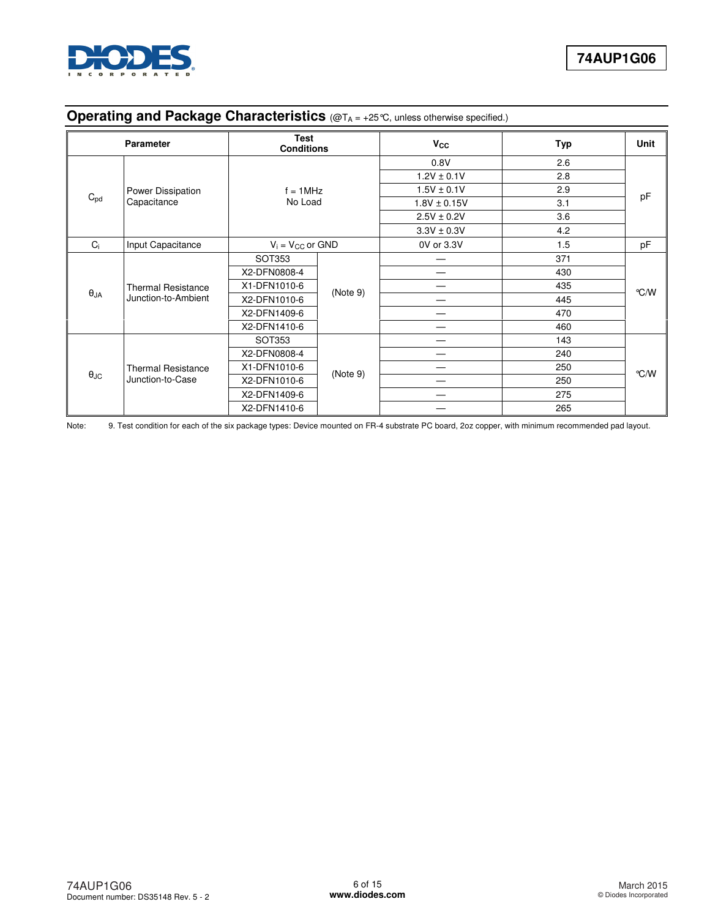

# **Operating and Package Characteristics** (@T<sub>A = +25</sub>°C, unless otherwise specified.)

|                      | <b>Parameter</b>                                    | <b>Test</b><br><b>Conditions</b> |                 | <b>V<sub>cc</sub></b> | Typ | <b>Unit</b> |
|----------------------|-----------------------------------------------------|----------------------------------|-----------------|-----------------------|-----|-------------|
|                      |                                                     |                                  |                 | 0.8V                  | 2.6 |             |
|                      |                                                     |                                  |                 | $1.2V \pm 0.1V$       | 2.8 |             |
|                      | Power Dissipation<br>$C_{\text{pd}}$<br>Capacitance | $f = 1$ MHz                      |                 | $1.5V \pm 0.1V$       | 2.9 |             |
|                      |                                                     | No Load                          |                 | $1.8V \pm 0.15V$      | 3.1 | pF          |
|                      |                                                     |                                  | $2.5V \pm 0.2V$ | 3.6                   |     |             |
|                      |                                                     |                                  |                 | $3.3V \pm 0.3V$       | 4.2 |             |
| Ci                   | Input Capacitance                                   | $V_i = V_{CC}$ or GND            |                 | 0V or 3.3V            | 1.5 | pF          |
|                      |                                                     | SOT353                           |                 |                       | 371 |             |
|                      |                                                     | X2-DFN0808-4                     |                 | --                    | 430 |             |
|                      | <b>Thermal Resistance</b>                           | X1-DFN1010-6                     |                 |                       | 435 | °C/W        |
| $\theta_{JA}$        | Junction-to-Ambient                                 | X2-DFN1010-6                     | (Note 9)        |                       | 445 |             |
|                      |                                                     | X2-DFN1409-6                     |                 |                       | 470 |             |
|                      |                                                     | X2-DFN1410-6                     |                 | _                     | 460 |             |
|                      |                                                     | SOT353                           |                 |                       | 143 |             |
|                      |                                                     | X2-DFN0808-4                     |                 |                       | 240 |             |
|                      | <b>Thermal Resistance</b>                           | X1-DFN1010-6                     |                 |                       | 250 | °C/W        |
| $\theta_{\text{JC}}$ | Junction-to-Case                                    | X2-DFN1010-6                     | (Note 9)        |                       | 250 |             |
|                      |                                                     | X2-DFN1409-6                     |                 |                       | 275 |             |
|                      |                                                     | X2-DFN1410-6                     |                 |                       | 265 |             |

Note: 9. Test condition for each of the six package types: Device mounted on FR-4 substrate PC board, 2oz copper, with minimum recommended pad layout.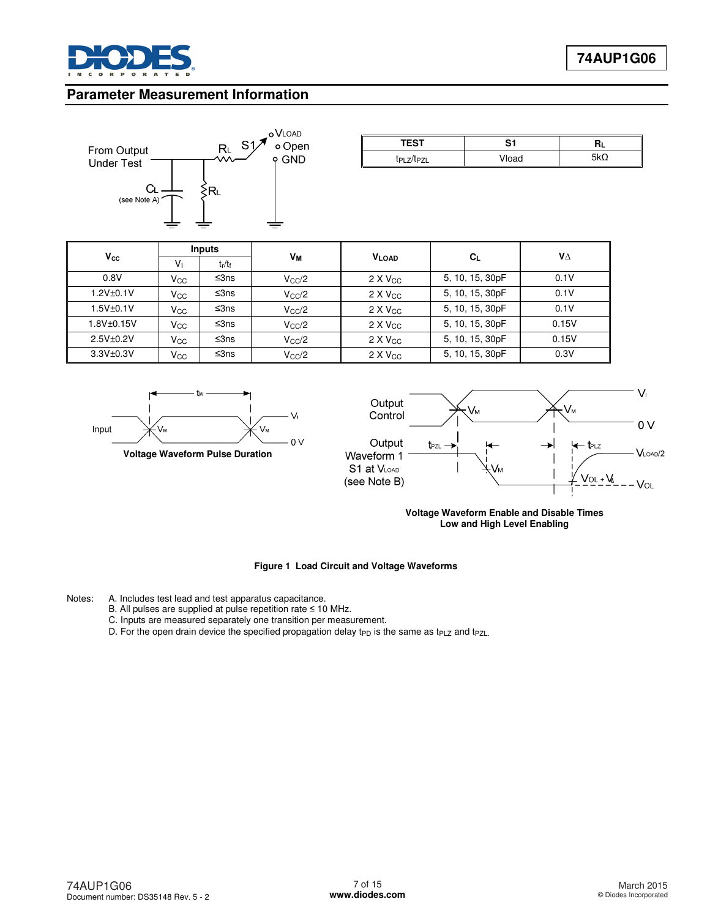

### **Parameter Measurement Information**



| TECT | `                            | .   |
|------|------------------------------|-----|
| ïы   | $^{\circ}$ " $\sim$<br>viudu | 177 |

|               | <b>Inputs</b>  |           |                |                   |                 |       |
|---------------|----------------|-----------|----------------|-------------------|-----------------|-------|
| $V_{\rm CC}$  | V <sub>1</sub> | $t_r/t_f$ | Vм             | <b>VLOAD</b>      | $C_L$           | VΔ    |
| 0.8V          | Vcc            | ≤3ns      | $V_{\rm CC}/2$ | $2 \times V_{CC}$ | 5, 10, 15, 30pF | 0.1V  |
| $1.2V + 0.1V$ | Vcc.           | ≤3ns      | $V_{\rm CC}/2$ | $2 \times V_{CC}$ | 5, 10, 15, 30pF | 0.1V  |
| $1.5V + 0.1V$ | Vcc            | ≤ $3ns$   | $V_{\rm CC}/2$ | $2 \times V_{CC}$ | 5, 10, 15, 30pF | 0.1V  |
| 1.8V±0.15V    | Vcc            | ≤3ns      | $V_{\rm CC}/2$ | $2 \times V_{CC}$ | 5, 10, 15, 30pF | 0.15V |
| $2.5V + 0.2V$ | Vcc            | ≤3ns      | $V_{\rm CC}/2$ | $2 \times V_{CC}$ | 5, 10, 15, 30pF | 0.15V |
| $3.3V + 0.3V$ | Vcc            | ≤3ns      | $V_{\rm CC}/2$ | $2 \times V_{CC}$ | 5, 10, 15, 30pF | 0.3V  |





**Voltage Waveform Enable and Disable Times Low and High Level Enabling**

#### **Figure 1 Load Circuit and Voltage Waveforms**

Notes: A. Includes test lead and test apparatus capacitance.

- B. All pulses are supplied at pulse repetition rate ≤ 10 MHz.
- C. Inputs are measured separately one transition per measurement.
- D. For the open drain device the specified propagation delay t<sub>PD</sub> is the same as t<sub>PLZ</sub> and t<sub>PZL.</sub>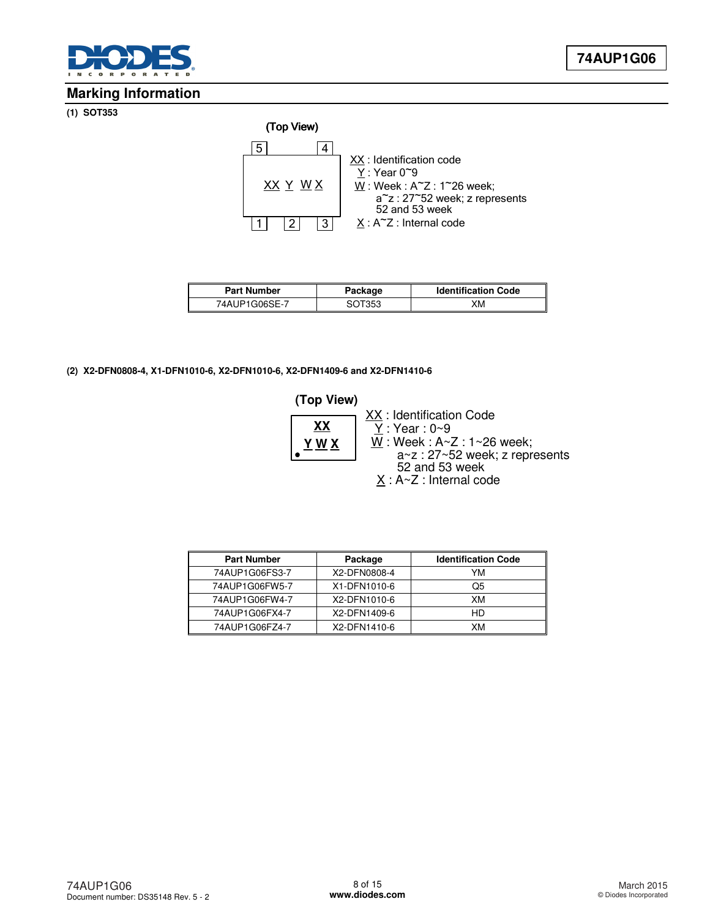

### **Marking Information**

**(1) SOT353** 



| <b>Part Number</b> | Package | <b>Identification Code</b> |  |
|--------------------|---------|----------------------------|--|
| 74AUP1G06SE-7      | SOT353  | XМ                         |  |

### **(2) X2-DFN0808-4, X1-DFN1010-6, X2-DFN1010-6, X2-DFN1409-6 and X2-DFN1410-6**

### **(Top View)**



| <b>Part Number</b> | Package      | <b>Identification Code</b> |
|--------------------|--------------|----------------------------|
| 74AUP1G06FS3-7     | X2-DFN0808-4 | YM                         |
| 74AUP1G06FW5-7     | X1-DFN1010-6 | Q5                         |
| 74AUP1G06FW4-7     | X2-DFN1010-6 | XM                         |
| 74AUP1G06FX4-7     | X2-DFN1409-6 | HD                         |
| 74AUP1G06FZ4-7     | X2-DFN1410-6 | XМ                         |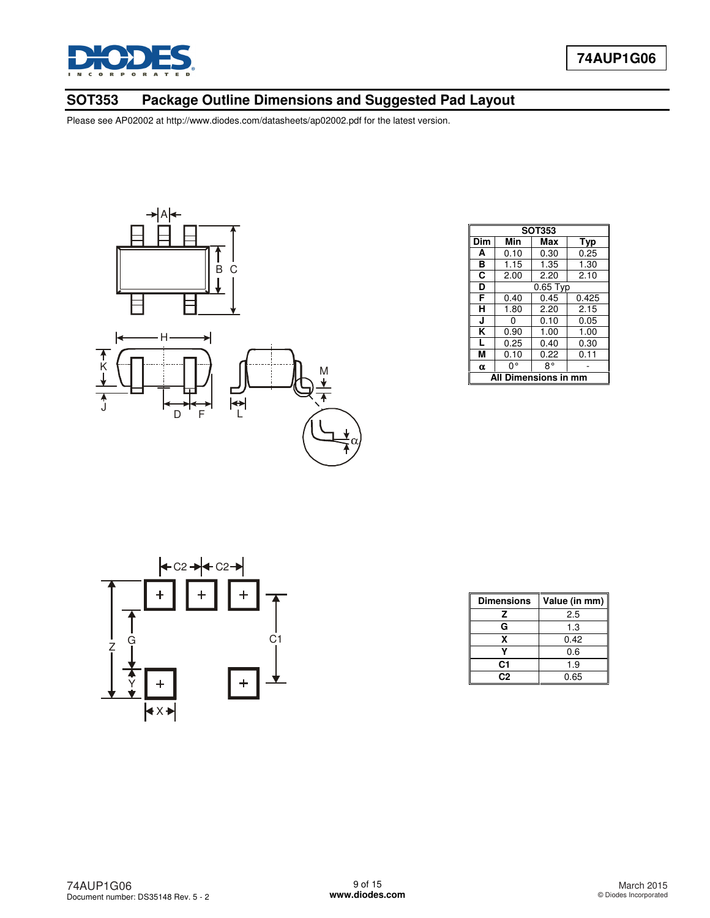

# **SOT353 Package Outline Dimensions and Suggested Pad Layout**



|                        | <b>SOT353</b> |            |       |  |  |
|------------------------|---------------|------------|-------|--|--|
| Dim                    | Min           | Max        | Typ   |  |  |
| A                      | 0.10          | 0.30       | 0.25  |  |  |
| в                      | 1.15          | 1.35       | 1.30  |  |  |
| C                      | 2.00          | 2.20       | 2.10  |  |  |
| D                      |               | $0.65$ Typ |       |  |  |
| F                      | 0.40          | 0.45       | 0.425 |  |  |
| н                      | 1.80          | 2.20       | 2.15  |  |  |
| J                      | ი             | 0.10       | 0.05  |  |  |
| ĸ                      | 0.90          | 1.00       | 1.00  |  |  |
| L                      | 0.25          | 0.40       | 0.30  |  |  |
| М                      | 0.10          | 0.22       | 0.11  |  |  |
| $\alpha$               | 0°            | R۰         |       |  |  |
| Dimensions in n<br>All |               |            |       |  |  |



| <b>Dimensions</b> | Value (in mm) |  |
|-------------------|---------------|--|
| z                 | 2.5           |  |
| G                 | 1.3           |  |
| x                 | 0.42          |  |
|                   | 0.6           |  |
| C1                | 1.9           |  |
| C2                | 0.65          |  |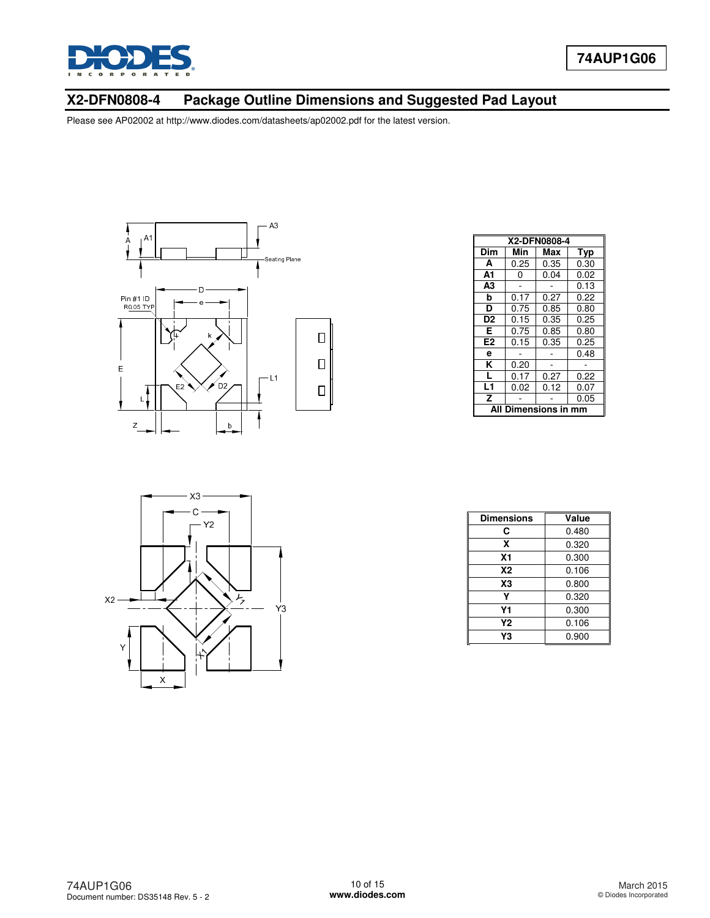

# **X2-DFN0808-4 Package Outline Dimensions and Suggested Pad Layout**



|                         | X2-DFN0808-4 |      |      |  |  |
|-------------------------|--------------|------|------|--|--|
| Dim                     | Min          | Max  | Typ  |  |  |
| A                       | 0.25         | 0.35 | 0.30 |  |  |
| A1                      | 0            | 0.04 | 0.02 |  |  |
| A <sub>3</sub>          |              |      | 0.13 |  |  |
| b                       | 0.17         | 0.27 | 0.22 |  |  |
| D                       | 0.75         | 0.85 | 0.80 |  |  |
| D <sub>2</sub>          | 0.15         | 0.35 | 0.25 |  |  |
| Е                       | 0.75         | 0.85 | 0.80 |  |  |
| E <sub>2</sub>          | 0.15         | 0.35 | 0.25 |  |  |
| е                       |              |      | 0.48 |  |  |
| ĸ                       | 0.20         |      |      |  |  |
| L                       | 0.17         | 0.27 | 0.22 |  |  |
| L1                      | 0.02         | 0.12 | 0.07 |  |  |
| z                       |              |      | 0.05 |  |  |
| Dimensions in mm<br>All |              |      |      |  |  |



| Dimensions     | Value |
|----------------|-------|
| С              | 0.480 |
| X              | 0.320 |
| Χ1             | 0.300 |
| <b>X2</b>      | 0.106 |
| X <sub>3</sub> | 0.800 |
| γ              | 0.320 |
| Υ1             | 0.300 |
| Υ2             | 0.106 |
| Y3             | 0.900 |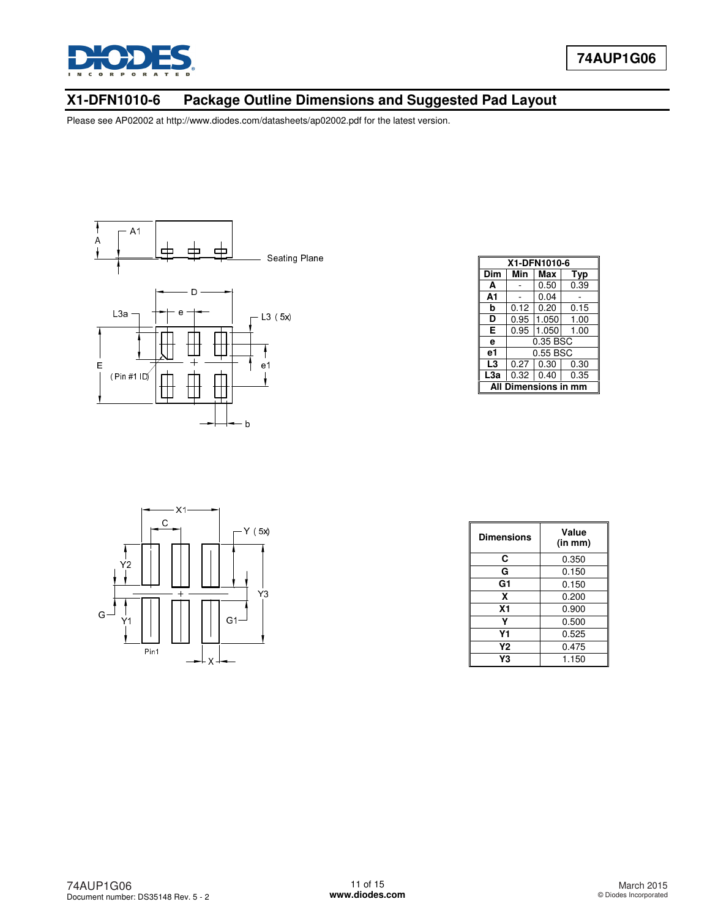

# **X1-DFN1010-6 Package Outline Dimensions and Suggested Pad Layout**



| X1-DFN1010-6              |          |          |      |  |
|---------------------------|----------|----------|------|--|
| Dim                       | Min      | Max      | Typ  |  |
| A                         |          | 0.50     | 0.39 |  |
| A1                        |          | 0.04     |      |  |
| b                         | 0.12     | 0.20     | 0.15 |  |
| D                         | 0.95     | 1.050    | 1.00 |  |
| Е                         | 0.95     | 1.050    | 1.00 |  |
| e                         | 0.35 BSC |          |      |  |
| e1                        |          | 0.55 BSC |      |  |
| L3                        | 0.27     | 0.30     | 0.30 |  |
| L3a                       | 0.32     | 0.40     | 0.35 |  |
| mensions in m<br>Diı<br>Δ |          |          |      |  |



| Dimensions     | Value<br>(in mm) |  |
|----------------|------------------|--|
| С              | 0.350            |  |
| G              | 0.150            |  |
| G1             | 0.150            |  |
| X              | 0.200            |  |
| X <sub>1</sub> | 0.900            |  |
| γ              | 0.500            |  |
| Υ1             | 0.525            |  |
| Υ2             | 0.475            |  |
| Y3             | 1.150            |  |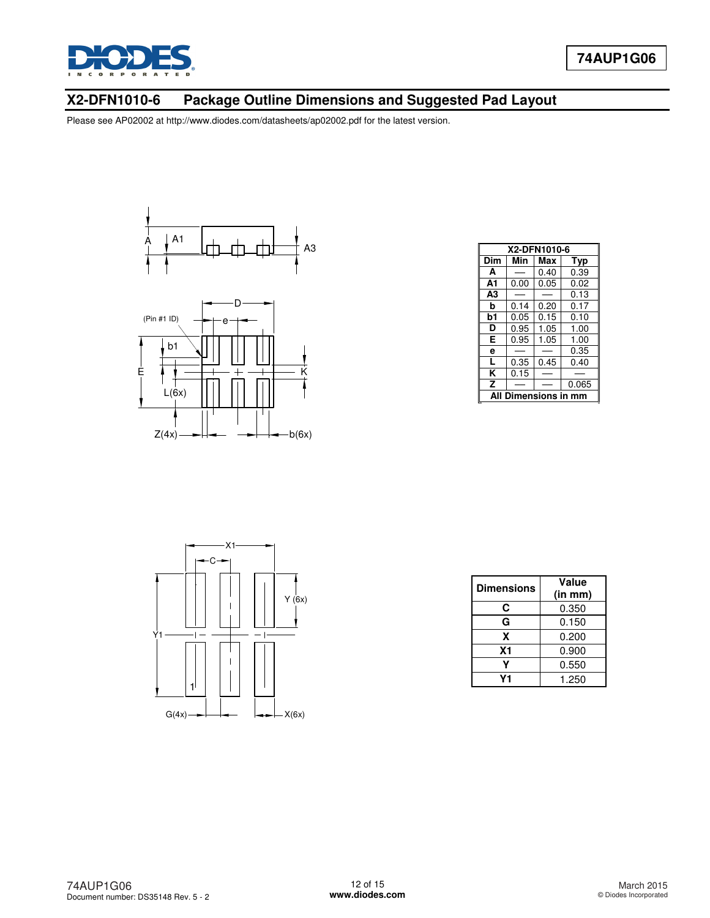

# **X2-DFN1010-6 Package Outline Dimensions and Suggested Pad Layout**





| X2-DFN1010-6 |      |      |       |  |
|--------------|------|------|-------|--|
| Dim          | Min  | Max  | Typ   |  |
| A            |      | 0.40 | 0.39  |  |
| A1           | 0.00 | 0.05 | 0.02  |  |
| A3           |      |      | 0.13  |  |
| b            | 0.14 | 0.20 | 0.17  |  |
| b1           | 0.05 | 0.15 | 0.10  |  |
| D            | 0.95 | 1.05 | 1.00  |  |
| E            | 0.95 | 1.05 | 1.00  |  |
| e            |      |      | 0.35  |  |
| L            | 0.35 | 0.45 | 0.40  |  |
| ĸ            | 0.15 |      |       |  |
| Z            |      |      | 0.065 |  |
| mensions in  |      |      |       |  |



| <b>Dimensions</b> | Value<br>(in mm) |
|-------------------|------------------|
| C                 | 0.350            |
| G                 | 0.150            |
| x                 | 0.200            |
| <b>X1</b>         | 0.900            |
|                   | 0.550            |
| ν1                | 1.250            |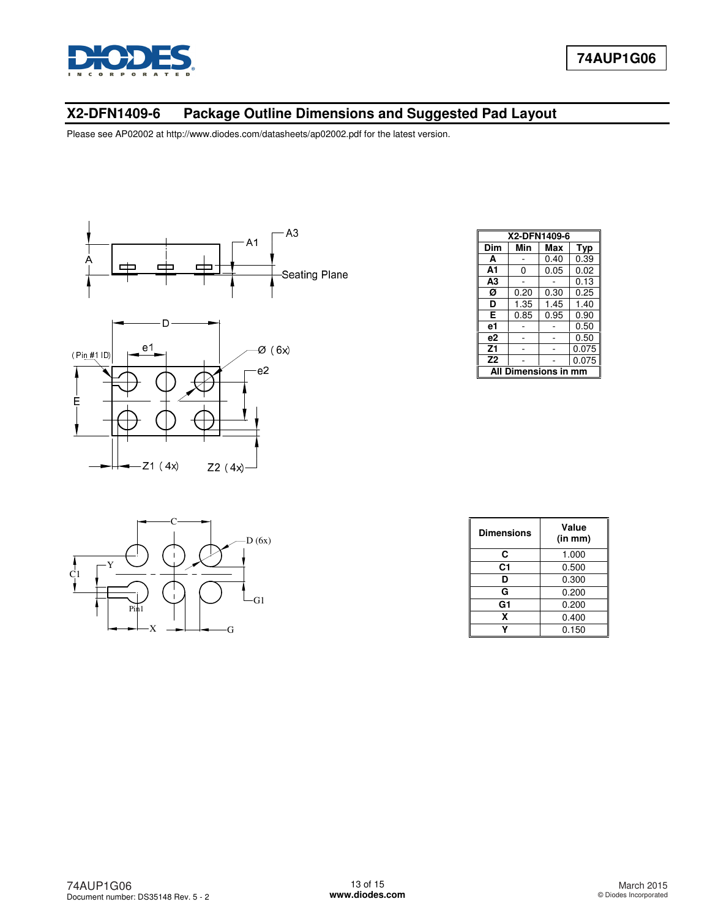

# **X2-DFN1409-6 Package Outline Dimensions and Suggested Pad Layout**





| Dim                  | Min  | Max  |       |
|----------------------|------|------|-------|
|                      |      |      | Typ   |
| A                    |      | 0.40 | 0.39  |
| A1                   | 0    | 0.05 | 0.02  |
| A <sub>3</sub>       |      |      | 0.13  |
| Ø                    | 0.20 | 0.30 | 0.25  |
| D                    | 1.35 | 1.45 | 1.40  |
| Е                    | 0.85 | 0.95 | 0.90  |
| e1                   |      |      | 0.50  |
| e2                   |      |      | 0.50  |
| Z <sub>1</sub>       |      |      | 0.075 |
| Z <sub>2</sub>       |      |      | 0.075 |
| All Dimensions in mm |      |      |       |



| <b>Dimensions</b> | Value<br>(in m <sub>m</sub> ) |
|-------------------|-------------------------------|
| С                 | 1.000                         |
| C <sub>1</sub>    | 0.500                         |
| D                 | 0.300                         |
| G                 | 0.200                         |
| G1                | 0.200                         |
| x                 | 0.400                         |
|                   | 0.150                         |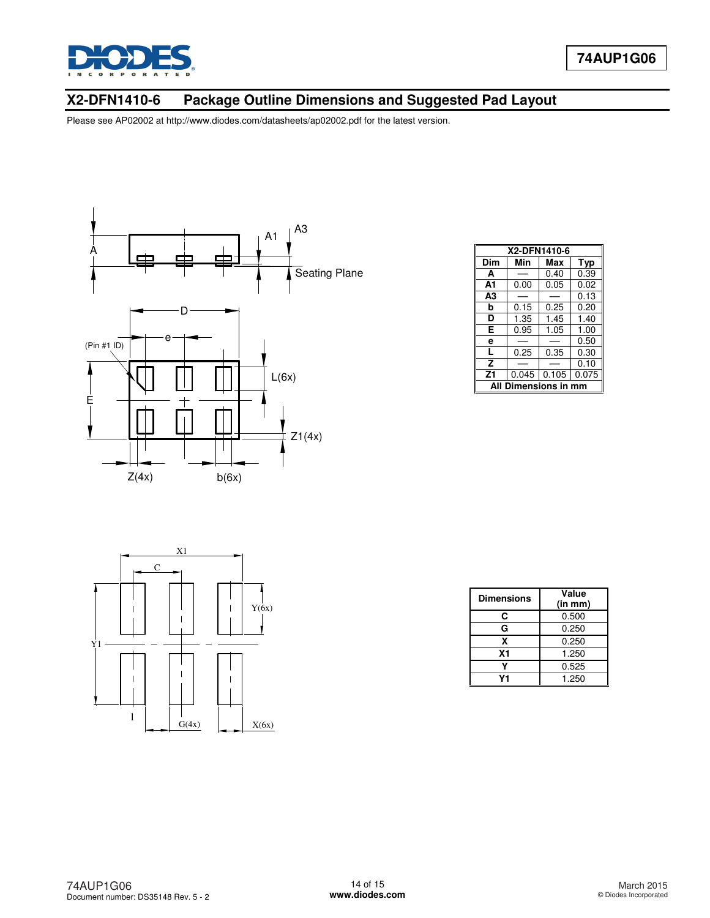

# **X2-DFN1410-6 Package Outline Dimensions and Suggested Pad Layout**



| X2-DFN1410-6           |       |       |            |  |
|------------------------|-------|-------|------------|--|
| Dim                    | Min   | Max   | <b>Typ</b> |  |
| A                      |       | 0.40  | 0.39       |  |
| A1                     | 0.00  | 0.05  | 0.02       |  |
| A3                     |       |       | 0.13       |  |
| b                      | 0.15  | 0.25  | 0.20       |  |
| D                      | 1.35  | 1.45  | 1.40       |  |
| Е                      | 0.95  | 1.05  | 1.00       |  |
| e                      |       |       | 0.50       |  |
| L                      | 0.25  | 0.35  | 0.30       |  |
| Z                      |       |       | 0.10       |  |
| Z <sub>1</sub>         | 0.045 | 0.105 | 0.075      |  |
| Dimensions in mm<br>ΔI |       |       |            |  |



| <b>Dimensions</b> | Value<br>(in mm) |
|-------------------|------------------|
| C                 | 0.500            |
| G                 | 0.250            |
| x                 | 0.250            |
| <b>X1</b>         | 1.250            |
|                   | 0.525            |
| V1                | 1.250            |